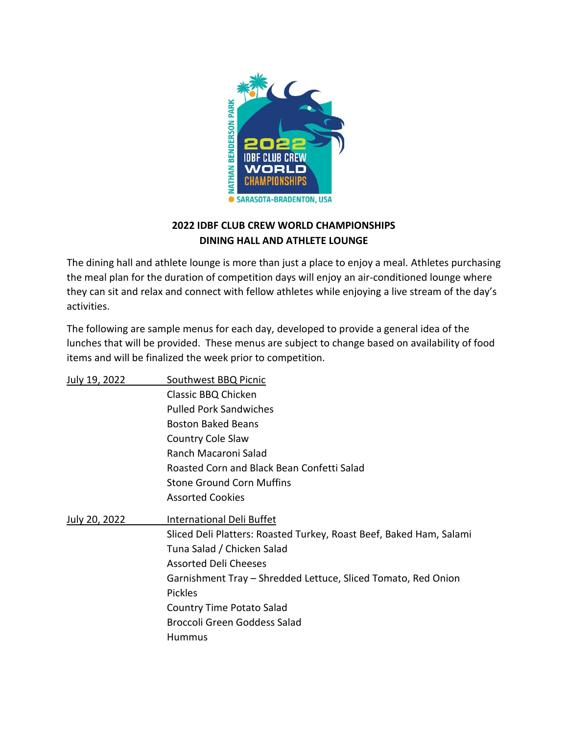

## **2022 IDBF CLUB CREW WORLD CHAMPIONSHIPS DINING HALL AND ATHLETE LOUNGE**

The dining hall and athlete lounge is more than just a place to enjoy a meal. Athletes purchasing the meal plan for the duration of competition days will enjoy an air-conditioned lounge where they can sit and relax and connect with fellow athletes while enjoying a live stream of the day's activities.

The following are sample menus for each day, developed to provide a general idea of the lunches that will be provided. These menus are subject to change based on availability of food items and will be finalized the week prior to competition.

| July 19, 2022 | Southwest BBQ Picnic                                                |
|---------------|---------------------------------------------------------------------|
|               | Classic BBQ Chicken                                                 |
|               | <b>Pulled Pork Sandwiches</b>                                       |
|               | <b>Boston Baked Beans</b>                                           |
|               | Country Cole Slaw                                                   |
|               | Ranch Macaroni Salad                                                |
|               | Roasted Corn and Black Bean Confetti Salad                          |
|               | <b>Stone Ground Corn Muffins</b>                                    |
|               | <b>Assorted Cookies</b>                                             |
| July 20, 2022 | International Deli Buffet                                           |
|               | Sliced Deli Platters: Roasted Turkey, Roast Beef, Baked Ham, Salami |
|               | Tuna Salad / Chicken Salad                                          |
|               | <b>Assorted Deli Cheeses</b>                                        |
|               | Garnishment Tray - Shredded Lettuce, Sliced Tomato, Red Onion       |
|               | <b>Pickles</b>                                                      |
|               | Country Time Potato Salad                                           |
|               | Broccoli Green Goddess Salad                                        |
|               | <b>Hummus</b>                                                       |
|               |                                                                     |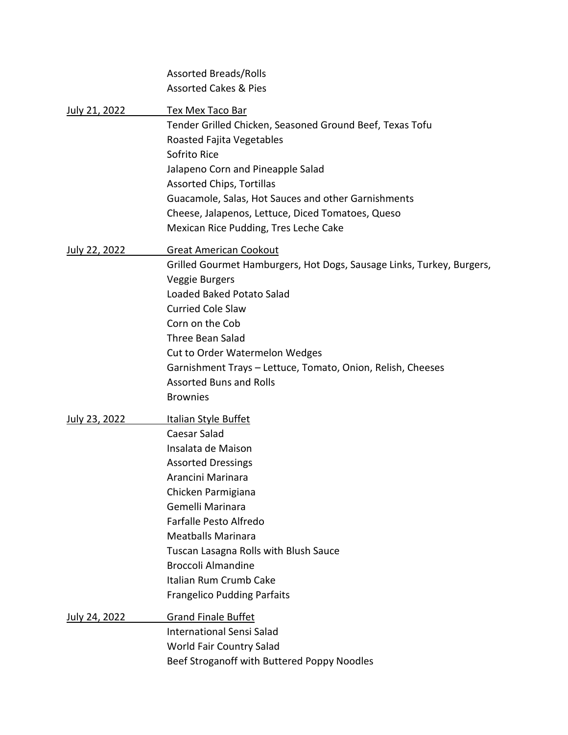|               | <b>Assorted Breads/Rolls</b>                                                                  |
|---------------|-----------------------------------------------------------------------------------------------|
|               | <b>Assorted Cakes &amp; Pies</b>                                                              |
| July 21, 2022 | Tex Mex Taco Bar<br>Tender Grilled Chicken, Seasoned Ground Beef, Texas Tofu                  |
|               | Roasted Fajita Vegetables                                                                     |
|               | Sofrito Rice                                                                                  |
|               | Jalapeno Corn and Pineapple Salad                                                             |
|               | <b>Assorted Chips, Tortillas</b><br>Guacamole, Salas, Hot Sauces and other Garnishments       |
|               | Cheese, Jalapenos, Lettuce, Diced Tomatoes, Queso                                             |
|               | Mexican Rice Pudding, Tres Leche Cake                                                         |
| July 22, 2022 | <b>Great American Cookout</b>                                                                 |
|               | Grilled Gourmet Hamburgers, Hot Dogs, Sausage Links, Turkey, Burgers,                         |
|               | Veggie Burgers                                                                                |
|               | Loaded Baked Potato Salad                                                                     |
|               | <b>Curried Cole Slaw</b>                                                                      |
|               | Corn on the Cob                                                                               |
|               | <b>Three Bean Salad</b>                                                                       |
|               | Cut to Order Watermelon Wedges                                                                |
|               | Garnishment Trays - Lettuce, Tomato, Onion, Relish, Cheeses<br><b>Assorted Buns and Rolls</b> |
|               | <b>Brownies</b>                                                                               |
| July 23, 2022 | Italian Style Buffet                                                                          |
|               | Caesar Salad                                                                                  |
|               | Insalata de Maison                                                                            |
|               | <b>Assorted Dressings</b>                                                                     |
|               | Arancini Marinara                                                                             |
|               | Chicken Parmigiana                                                                            |
|               | Gemelli Marinara                                                                              |
|               | Farfalle Pesto Alfredo                                                                        |
|               | <b>Meatballs Marinara</b>                                                                     |
|               | Tuscan Lasagna Rolls with Blush Sauce<br><b>Broccoli Almandine</b>                            |
|               | Italian Rum Crumb Cake                                                                        |
|               | <b>Frangelico Pudding Parfaits</b>                                                            |
| July 24, 2022 | <b>Grand Finale Buffet</b>                                                                    |
|               | <b>International Sensi Salad</b>                                                              |
|               | World Fair Country Salad                                                                      |
|               | Beef Stroganoff with Buttered Poppy Noodles                                                   |
|               |                                                                                               |